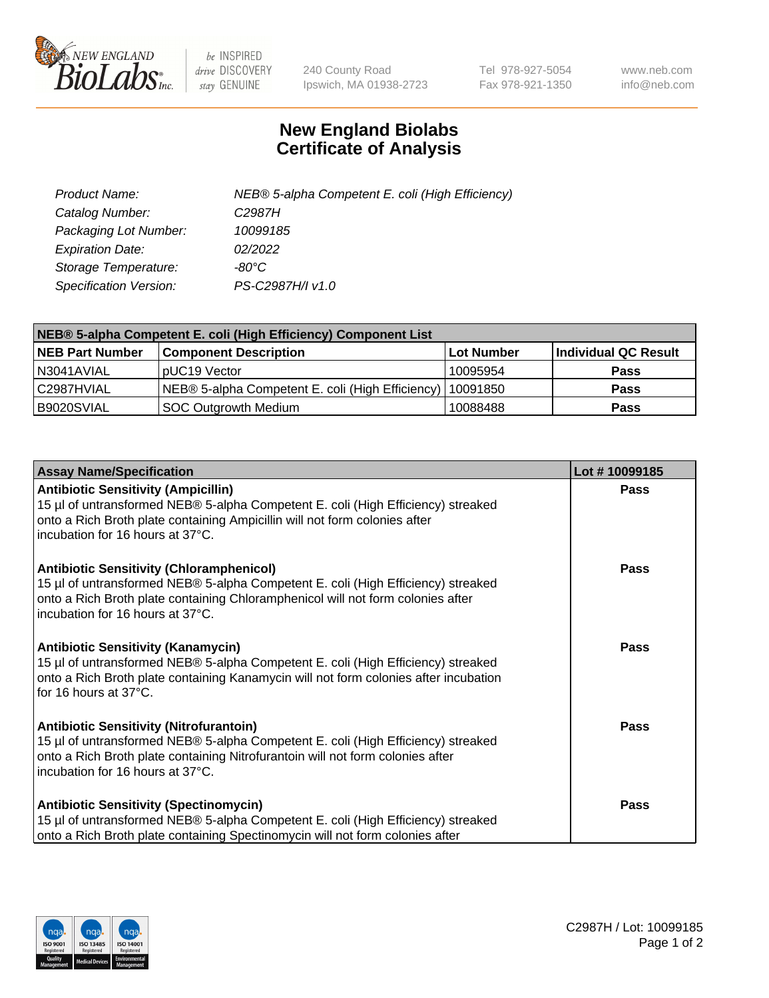

 $be$  INSPIRED drive DISCOVERY stay GENUINE

240 County Road Ipswich, MA 01938-2723 Tel 978-927-5054 Fax 978-921-1350 www.neb.com info@neb.com

## **New England Biolabs Certificate of Analysis**

| Product Name:           | NEB® 5-alpha Competent E. coli (High Efficiency) |
|-------------------------|--------------------------------------------------|
| Catalog Number:         | C <sub>2987</sub> H                              |
| Packaging Lot Number:   | 10099185                                         |
| <b>Expiration Date:</b> | 02/2022                                          |
| Storage Temperature:    | -80°C                                            |
| Specification Version:  | PS-C2987H/I v1.0                                 |

| NEB® 5-alpha Competent E. coli (High Efficiency) Component List |                                                  |            |                      |  |
|-----------------------------------------------------------------|--------------------------------------------------|------------|----------------------|--|
| <b>NEB Part Number</b>                                          | <b>Component Description</b>                     | Lot Number | Individual QC Result |  |
| N3041AVIAL                                                      | pUC19 Vector                                     | 10095954   | <b>Pass</b>          |  |
| C2987HVIAL                                                      | NEB® 5-alpha Competent E. coli (High Efficiency) | 10091850   | <b>Pass</b>          |  |
| B9020SVIAL                                                      | <b>SOC Outgrowth Medium</b>                      | 10088488   | <b>Pass</b>          |  |

| <b>Assay Name/Specification</b>                                                                                                                                                                                                                            | Lot #10099185 |
|------------------------------------------------------------------------------------------------------------------------------------------------------------------------------------------------------------------------------------------------------------|---------------|
| <b>Antibiotic Sensitivity (Ampicillin)</b><br>15 µl of untransformed NEB® 5-alpha Competent E. coli (High Efficiency) streaked<br>onto a Rich Broth plate containing Ampicillin will not form colonies after<br>incubation for 16 hours at 37°C.           | <b>Pass</b>   |
| <b>Antibiotic Sensitivity (Chloramphenicol)</b><br>15 µl of untransformed NEB® 5-alpha Competent E. coli (High Efficiency) streaked<br>onto a Rich Broth plate containing Chloramphenicol will not form colonies after<br>incubation for 16 hours at 37°C. | Pass          |
| Antibiotic Sensitivity (Kanamycin)<br>15 µl of untransformed NEB® 5-alpha Competent E. coli (High Efficiency) streaked<br>onto a Rich Broth plate containing Kanamycin will not form colonies after incubation<br>for 16 hours at 37°C.                    | Pass          |
| <b>Antibiotic Sensitivity (Nitrofurantoin)</b><br>15 µl of untransformed NEB® 5-alpha Competent E. coli (High Efficiency) streaked<br>onto a Rich Broth plate containing Nitrofurantoin will not form colonies after<br>incubation for 16 hours at 37°C.   | <b>Pass</b>   |
| <b>Antibiotic Sensitivity (Spectinomycin)</b><br>15 µl of untransformed NEB® 5-alpha Competent E. coli (High Efficiency) streaked<br>onto a Rich Broth plate containing Spectinomycin will not form colonies after                                         | Pass          |